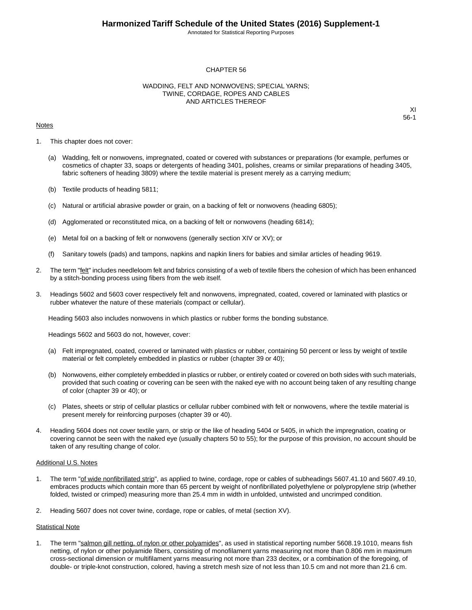Annotated for Statistical Reporting Purposes

### CHAPTER 56

### WADDING, FELT AND NONWOVENS; SPECIAL YARNS; TWINE, CORDAGE, ROPES AND CABLES AND ARTICLES THEREOF

### **Notes**

XI 56-1

- 1. This chapter does not cover:
	- (a) Wadding, felt or nonwovens, impregnated, coated or covered with substances or preparations (for example, perfumes or cosmetics of chapter 33, soaps or detergents of heading 3401, polishes, creams or similar preparations of heading 3405, fabric softeners of heading 3809) where the textile material is present merely as a carrying medium;
	- (b) Textile products of heading 5811;
	- (c) Natural or artificial abrasive powder or grain, on a backing of felt or nonwovens (heading 6805);
	- (d) Agglomerated or reconstituted mica, on a backing of felt or nonwovens (heading 6814);
	- (e) Metal foil on a backing of felt or nonwovens (generally section XIV or XV); or
	- (f) Sanitary towels (pads) and tampons, napkins and napkin liners for babies and similar articles of heading 9619.
- 2. The term "felt" includes needleloom felt and fabrics consisting of a web of textile fibers the cohesion of which has been enhanced by a stitch-bonding process using fibers from the web itself.
- 3. Headings 5602 and 5603 cover respectively felt and nonwovens, impregnated, coated, covered or laminated with plastics or rubber whatever the nature of these materials (compact or cellular).

Heading 5603 also includes nonwovens in which plastics or rubber forms the bonding substance.

Headings 5602 and 5603 do not, however, cover:

- (a) Felt impregnated, coated, covered or laminated with plastics or rubber, containing 50 percent or less by weight of textile material or felt completely embedded in plastics or rubber (chapter 39 or 40);
- (b) Nonwovens, either completely embedded in plastics or rubber, or entirely coated or covered on both sides with such materials, provided that such coating or covering can be seen with the naked eye with no account being taken of any resulting change of color (chapter 39 or 40); or
- (c) Plates, sheets or strip of cellular plastics or cellular rubber combined with felt or nonwovens, where the textile material is present merely for reinforcing purposes (chapter 39 or 40).
- 4. Heading 5604 does not cover textile yarn, or strip or the like of heading 5404 or 5405, in which the impregnation, coating or covering cannot be seen with the naked eye (usually chapters 50 to 55); for the purpose of this provision, no account should be taken of any resulting change of color.

#### Additional U.S. Notes

- 1. The term "of wide nonfibrillated strip", as applied to twine, cordage, rope or cables of subheadings 5607.41.10 and 5607.49.10, embraces products which contain more than 65 percent by weight of nonfibrillated polyethylene or polypropylene strip (whether folded, twisted or crimped) measuring more than 25.4 mm in width in unfolded, untwisted and uncrimped condition.
- 2. Heading 5607 does not cover twine, cordage, rope or cables, of metal (section XV).

### Statistical Note

1. The term "salmon gill netting, of nylon or other polyamides", as used in statistical reporting number 5608.19.1010, means fish netting, of nylon or other polyamide fibers, consisting of monofilament yarns measuring not more than 0.806 mm in maximum cross-sectional dimension or multifilament yarns measuring not more than 233 decitex, or a combination of the foregoing, of double- or triple-knot construction, colored, having a stretch mesh size of not less than 10.5 cm and not more than 21.6 cm.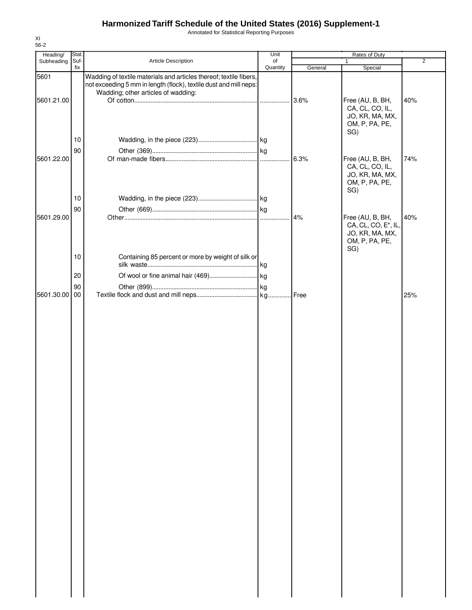Annotated for Statistical Reporting Purposes

|    |                                        | Unit                | Rates of Duty                                                                                                                                                                                                   |                                                                          |                                                                                                                   |
|----|----------------------------------------|---------------------|-----------------------------------------------------------------------------------------------------------------------------------------------------------------------------------------------------------------|--------------------------------------------------------------------------|-------------------------------------------------------------------------------------------------------------------|
|    |                                        |                     |                                                                                                                                                                                                                 |                                                                          | $\overline{2}$                                                                                                    |
|    | Wadding; other articles of wadding:    |                     |                                                                                                                                                                                                                 |                                                                          |                                                                                                                   |
|    |                                        |                     | 3.6%                                                                                                                                                                                                            | Free (AU, B, BH,<br>CA, CL, CO, IL,<br>JO, KR, MA, MX,<br>OM, P, PA, PE, | 40%                                                                                                               |
| 10 |                                        |                     |                                                                                                                                                                                                                 |                                                                          |                                                                                                                   |
| 90 |                                        |                     |                                                                                                                                                                                                                 |                                                                          |                                                                                                                   |
|    |                                        |                     |                                                                                                                                                                                                                 | CA, CL, CO, IL,<br>JO, KR, MA, MX,<br>OM, P, PA, PE,                     | 74%                                                                                                               |
| 10 |                                        |                     |                                                                                                                                                                                                                 |                                                                          |                                                                                                                   |
| 90 |                                        |                     |                                                                                                                                                                                                                 |                                                                          |                                                                                                                   |
|    |                                        |                     |                                                                                                                                                                                                                 | JO, KR, MA, MX,<br>OM, P, PA, PE,<br>SG)                                 | 40%                                                                                                               |
|    |                                        |                     |                                                                                                                                                                                                                 |                                                                          |                                                                                                                   |
|    |                                        |                     |                                                                                                                                                                                                                 |                                                                          |                                                                                                                   |
|    |                                        |                     |                                                                                                                                                                                                                 |                                                                          |                                                                                                                   |
| 00 |                                        |                     | Free                                                                                                                                                                                                            |                                                                          | 25%                                                                                                               |
|    |                                        |                     |                                                                                                                                                                                                                 |                                                                          |                                                                                                                   |
|    | Stat.<br>Suf-<br>fix<br>10<br>20<br>90 | Article Description | of<br>Quantity<br>Wadding of textile materials and articles thereof; textile fibers,<br>not exceeding 5 mm in length (flock), textile dust and mill neps:<br>Containing 85 percent or more by weight of silk or | General<br>6.3%<br>4%                                                    | $\mathbf{1}$<br>Special<br>SG)<br>Free (AU, B, BH,<br>SG)<br>Free (AU, B, BH,<br>CA, CL, CO, E <sup>*</sup> , IL, |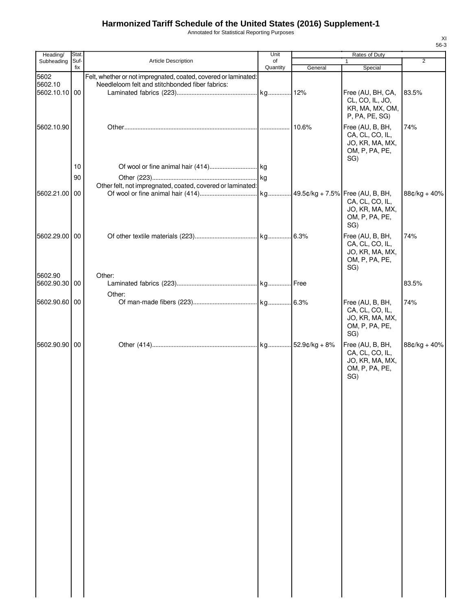Annotated for Statistical Reporting Purposes

| Heading/                         | Stat.       |                                                                                                                    | Unit           |         | Rates of Duty                                                                   |                |
|----------------------------------|-------------|--------------------------------------------------------------------------------------------------------------------|----------------|---------|---------------------------------------------------------------------------------|----------------|
| Subheading                       | Suf-<br>fix | <b>Article Description</b>                                                                                         | of<br>Quantity | General | 1<br>Special                                                                    | $\overline{2}$ |
| 5602<br>5602.10<br>5602.10.10 00 |             | Felt, whether or not impregnated, coated, covered or laminated:<br>Needleloom felt and stitchbonded fiber fabrics: |                |         | Free (AU, BH, CA,<br>CL, CO, IL, JO,<br>KR, MA, MX, OM,<br>P, PA, PE, SG)       | 83.5%          |
| 5602.10.90                       |             |                                                                                                                    |                | 10.6%   | Free (AU, B, BH,<br>CA, CL, CO, IL,<br>JO, KR, MA, MX,<br>OM, P, PA, PE,<br>SG) | 74%            |
|                                  | 10          |                                                                                                                    |                |         |                                                                                 |                |
|                                  | 90          |                                                                                                                    |                |         |                                                                                 |                |
| 5602.21.00 00                    |             | Other felt, not impregnated, coated, covered or laminated:                                                         |                |         | CA, CL, CO, IL,<br>JO, KR, MA, MX,<br>OM, P, PA, PE,<br>SG)                     | 88¢/kg + 40%   |
| 5602.29.00 00                    |             |                                                                                                                    |                |         | Free (AU, B, BH,<br>CA, CL, CO, IL,<br>JO, KR, MA, MX,<br>OM, P, PA, PE,<br>SG) | 74%            |
| 5602.90<br>5602.90.30 00         |             | Other:                                                                                                             |                |         |                                                                                 | 83.5%          |
|                                  |             | Other:                                                                                                             |                |         |                                                                                 |                |
| 5602.90.60 00                    |             |                                                                                                                    |                |         | Free (AU, B, BH,<br>CA, CL, CO, IL,<br>JO, KR, MA, MX,<br>OM, P, PA, PE,<br>SG) | 74%            |
| 5602.90.90 00                    |             |                                                                                                                    |                |         | Free (AU, B, BH,<br>CA, CL, CO, IL,<br>JO, KR, MA, MX,<br>OM, P, PA, PE,<br>SG) | 88¢/kg + 40%   |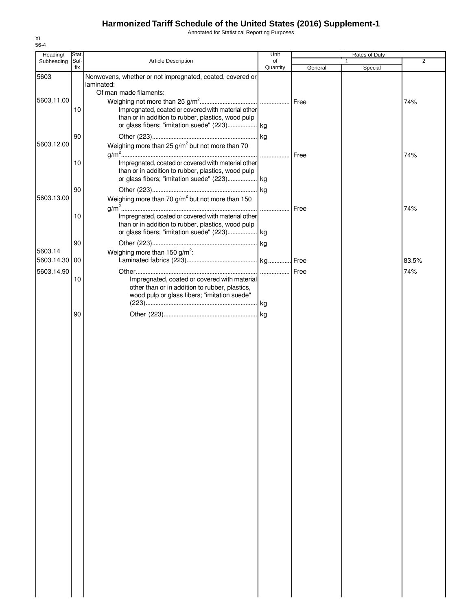Annotated for Statistical Reporting Purposes

| Heading/                 | Stat.       |                                                                                                                                                                                   | Unit           |         | Rates of Duty |                |
|--------------------------|-------------|-----------------------------------------------------------------------------------------------------------------------------------------------------------------------------------|----------------|---------|---------------|----------------|
| Subheading               | Suf-<br>fix | Article Description                                                                                                                                                               | of<br>Quantity | General | 1<br>Special  | $\overline{2}$ |
| 5603                     |             | Nonwovens, whether or not impregnated, coated, covered or<br>laminated:                                                                                                           |                |         |               |                |
| 5603.11.00               | 10          | Of man-made filaments:<br>Impregnated, coated or covered with material other<br>than or in addition to rubber, plastics, wood pulp<br>or glass fibers; "imitation suede" (223) kg |                | Free    |               | 74%            |
| 5603.12.00               | 90          | Weighing more than 25 $g/m^2$ but not more than 70                                                                                                                                |                |         |               |                |
|                          | 10<br>90    | Impregnated, coated or covered with material other<br>than or in addition to rubber, plastics, wood pulp<br>or glass fibers; "imitation suede" (223) kg                           |                | Free    |               | 74%            |
| 5603.13.00               |             | Weighing more than 70 g/m <sup>2</sup> but not more than 150                                                                                                                      |                | Free    |               | 74%            |
|                          | 10          | Impregnated, coated or covered with material other<br>than or in addition to rubber, plastics, wood pulp                                                                          |                |         |               |                |
| 5603.14<br>5603.14.30 00 | 90          | Weighing more than 150 g/m <sup>2</sup> :                                                                                                                                         |                |         |               | 83.5%          |
|                          |             |                                                                                                                                                                                   |                |         |               |                |
| 5603.14.90               | 10          | Impregnated, coated or covered with material<br>other than or in addition to rubber, plastics,<br>wood pulp or glass fibers; "imitation suede"                                    |                |         |               | 74%            |
|                          |             |                                                                                                                                                                                   |                |         |               |                |
|                          |             |                                                                                                                                                                                   |                |         |               |                |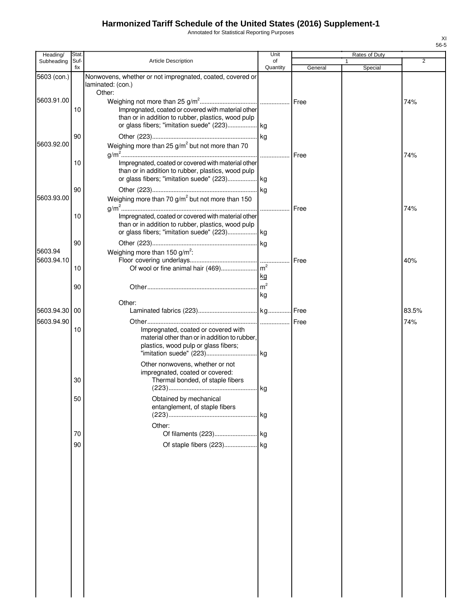Annotated for Statistical Reporting Purposes

| Heading/                 | <b>Stat</b> |                                                                                                                                                                | Unit                 |         | Rates of Duty |                |
|--------------------------|-------------|----------------------------------------------------------------------------------------------------------------------------------------------------------------|----------------------|---------|---------------|----------------|
| Subheading               | Suf-<br>fix | Article Description                                                                                                                                            | of<br>Quantity       | General | Special       | $\overline{2}$ |
| 5603 (con.)              |             | Nonwovens, whether or not impregnated, coated, covered or<br>laminated: (con.)                                                                                 |                      |         |               |                |
| 5603.91.00               | 10          | Other:<br>Impregnated, coated or covered with material other<br>than or in addition to rubber, plastics, wood pulp                                             |                      |         |               | 74%            |
|                          | 90          |                                                                                                                                                                |                      |         |               |                |
| 5603.92.00               | 10          | Weighing more than 25 $g/m^2$ but not more than 70<br>Impregnated, coated or covered with material other<br>than or in addition to rubber, plastics, wood pulp |                      | Free    |               | 74%            |
| 5603.93.00               | 90          | or glass fibers; "imitation suede" (223) kg<br>Weighing more than 70 g/m <sup>2</sup> but not more than 150                                                    |                      | Free    |               | 74%            |
|                          | 10          | Impregnated, coated or covered with material other<br>than or in addition to rubber, plastics, wood pulp<br>or glass fibers; "imitation suede" (223) kg        |                      |         |               |                |
| 5603.94<br>5603.94.10    | 90          | Weighing more than 150 $g/m^2$ :                                                                                                                               |                      | Free    |               | 40%            |
|                          | 10<br>90    |                                                                                                                                                                | kg<br>m <sup>2</sup> |         |               |                |
| 5603.94.30<br>5603.94.90 | 00          | Other:                                                                                                                                                         | kg                   | Free    |               | 83.5%<br>74%   |
|                          | 10          | Impregnated, coated or covered with<br>material other than or in addition to rubber,<br>plastics, wood pulp or glass fibers;                                   |                      |         |               |                |
|                          | 30          | Other nonwovens, whether or not<br>impregnated, coated or covered:<br>Thermal bonded, of staple fibers                                                         |                      |         |               |                |
|                          | 50          | Obtained by mechanical<br>entanglement, of staple fibers<br>Other:                                                                                             |                      |         |               |                |
|                          | 70<br>90    |                                                                                                                                                                |                      |         |               |                |
|                          |             |                                                                                                                                                                |                      |         |               |                |
|                          |             |                                                                                                                                                                |                      |         |               |                |
|                          |             |                                                                                                                                                                |                      |         |               |                |
|                          |             |                                                                                                                                                                |                      |         |               |                |
|                          |             |                                                                                                                                                                |                      |         |               |                |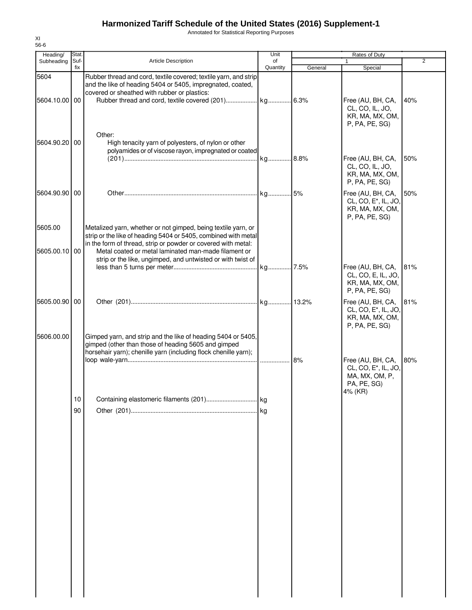Annotated for Statistical Reporting Purposes

| Heading/                 | <b>Stat</b> |                                                                                                                                                                                                                                                          | Unit           |         | Rates of Duty                                                                                     |                |
|--------------------------|-------------|----------------------------------------------------------------------------------------------------------------------------------------------------------------------------------------------------------------------------------------------------------|----------------|---------|---------------------------------------------------------------------------------------------------|----------------|
| Subheading               | Suf-<br>fix | <b>Article Description</b>                                                                                                                                                                                                                               | of<br>Quantity | General | 1<br>Special                                                                                      | $\overline{2}$ |
| 5604                     |             | Rubber thread and cord, textile covered; textile yarn, and strip<br>and the like of heading 5404 or 5405, impregnated, coated,<br>covered or sheathed with rubber or plastics:                                                                           |                |         |                                                                                                   |                |
| 5604.10.00 00            |             |                                                                                                                                                                                                                                                          |                |         | Free (AU, BH, CA,<br>CL, CO, IL, JO,<br>KR, MA, MX, OM,<br>P, PA, PE, SG)                         | 40%            |
| 5604.90.20 00            |             | Other:<br>High tenacity yarn of polyesters, of nylon or other<br>polyamides or of viscose rayon, impregnated or coated                                                                                                                                   |                |         | Free (AU, BH, CA,                                                                                 | 50%            |
|                          |             |                                                                                                                                                                                                                                                          |                |         | CL, CO, IL, JO,<br>KR, MA, MX, OM,<br>P, PA, PE, SG)                                              |                |
| 5604.90.90 00            |             |                                                                                                                                                                                                                                                          |                |         | Free (AU, BH, CA,<br>CL, CO, E <sup>*</sup> , IL, JO,<br>KR, MA, MX, OM,<br>P, PA, PE, SG)        | 50%            |
| 5605.00<br>5605.00.10 00 |             | Metalized yarn, whether or not gimped, being textile yarn, or<br>strip or the like of heading 5404 or 5405, combined with metal<br>in the form of thread, strip or powder or covered with metal:<br>Metal coated or metal laminated man-made filament or |                |         |                                                                                                   |                |
|                          |             | strip or the like, ungimped, and untwisted or with twist of                                                                                                                                                                                              |                |         | Free (AU, BH, CA,<br>CL, CO, E, IL, JO,<br>KR, MA, MX, OM,<br>P, PA, PE, SG)                      | 81%            |
| 5605.00.90 00            |             |                                                                                                                                                                                                                                                          |                |         | Free (AU, BH, CA,<br>CL, CO, E*, IL, JO,<br>KR, MA, MX, OM,<br>P, PA, PE, SG)                     | 81%            |
| 5606.00.00               |             | Gimped yarn, and strip and the like of heading 5404 or 5405,<br>gimped (other than those of heading 5605 and gimped<br>horsehair yarn); chenille yarn (including flock chenille yarn);                                                                   |                |         |                                                                                                   |                |
|                          |             |                                                                                                                                                                                                                                                          |                | 8%      | Free (AU, BH, CA,<br>CL, CO, E <sup>*</sup> , IL, JO,<br>MA, MX, OM, P,<br>PA, PE, SG)<br>4% (KR) | 80%            |
|                          | $10$        |                                                                                                                                                                                                                                                          |                |         |                                                                                                   |                |
|                          | 90          |                                                                                                                                                                                                                                                          |                |         |                                                                                                   |                |
|                          |             |                                                                                                                                                                                                                                                          |                |         |                                                                                                   |                |
|                          |             |                                                                                                                                                                                                                                                          |                |         |                                                                                                   |                |
|                          |             |                                                                                                                                                                                                                                                          |                |         |                                                                                                   |                |
|                          |             |                                                                                                                                                                                                                                                          |                |         |                                                                                                   |                |
|                          |             |                                                                                                                                                                                                                                                          |                |         |                                                                                                   |                |
|                          |             |                                                                                                                                                                                                                                                          |                |         |                                                                                                   |                |
|                          |             |                                                                                                                                                                                                                                                          |                |         |                                                                                                   |                |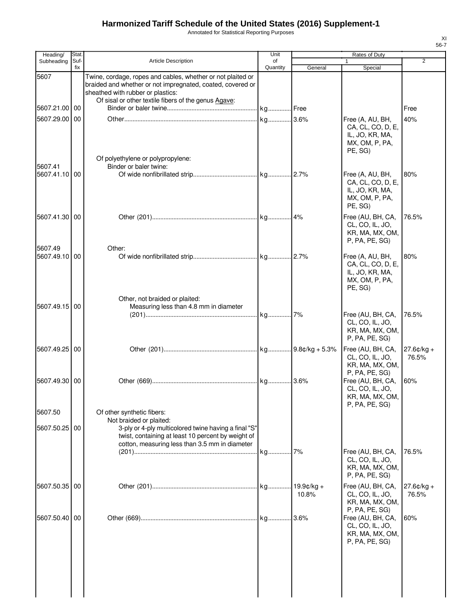Annotated for Statistical Reporting Purposes

| Heading/                 | <b>Stat</b> |                                                                                                                                                                                                                        | Unit           |                       | <b>Rates of Duty</b>                                                                        |                        |
|--------------------------|-------------|------------------------------------------------------------------------------------------------------------------------------------------------------------------------------------------------------------------------|----------------|-----------------------|---------------------------------------------------------------------------------------------|------------------------|
| Subheading               | Suf-<br>fix | <b>Article Description</b>                                                                                                                                                                                             | of<br>Quantity | General               | 1<br>Special                                                                                | $\overline{2}$         |
| 5607                     |             | Twine, cordage, ropes and cables, whether or not plaited or<br>braided and whether or not impregnated, coated, covered or<br>sheathed with rubber or plastics:<br>Of sisal or other textile fibers of the genus Agave: |                |                       |                                                                                             |                        |
| 5607.21.00               | 00          |                                                                                                                                                                                                                        | . kg Free      |                       |                                                                                             | Free                   |
| 5607.29.00               | 00          | Of polyethylene or polypropylene:                                                                                                                                                                                      |                |                       | Free (A, AU, BH,<br>CA, CL, CO, D, E,<br>IL, JO, KR, MA,<br>MX, OM, P, PA,<br>PE, SG)       | 40%                    |
| 5607.41<br>5607.41.10 00 |             | Binder or baler twine:                                                                                                                                                                                                 |                |                       | Free (A, AU, BH,<br>CA, CL, CO, D, E,<br>IL, JO, KR, MA,<br>MX, OM, P, PA,<br>PE, SG)       | 80%                    |
| 5607.41.30 00            |             |                                                                                                                                                                                                                        |                |                       | Free (AU, BH, CA,<br>CL, CO, IL, JO,<br>KR, MA, MX, OM,<br>P, PA, PE, SG)                   | 76.5%                  |
| 5607.49<br>5607.49.10 00 |             | Other:                                                                                                                                                                                                                 |                |                       | Free (A, AU, BH,<br>CA, CL, CO, D, E,<br>IL, JO, KR, MA,<br>MX, OM, P, PA,<br>PE, SG)       | 80%                    |
| 5607.49.15 00            |             | Other, not braided or plaited:<br>Measuring less than 4.8 mm in diameter                                                                                                                                               |                |                       | Free (AU, BH, CA,<br>CL, CO, IL, JO,<br>KR, MA, MX, OM,<br>P, PA, PE, SG)                   | 76.5%                  |
| 5607.49.25               | 00          |                                                                                                                                                                                                                        |                |                       | Free (AU, BH, CA,<br>CL, CO, IL, JO,<br>KR, MA, MX, OM,<br>P, PA, PE, SG)                   | $27.6$ ¢/kg +<br>76.5% |
| 5607.49.30               | 00          |                                                                                                                                                                                                                        |                |                       | Free (AU, BH, CA,<br>CL, CO, IL, JO,<br>KR, MA, MX, OM,<br>P, PA, PE, SG)                   | 60%                    |
| 5607.50                  |             | Of other synthetic fibers:                                                                                                                                                                                             |                |                       |                                                                                             |                        |
| 5607.50.25               | 00          | Not braided or plaited:<br>3-ply or 4-ply multicolored twine having a final "S"<br>twist, containing at least 10 percent by weight of<br>cotton, measuring less than 3.5 mm in diameter                                | . kg           | 7%                    | Free (AU, BH, CA,<br>CL, CO, IL, JO,<br>KR, MA, MX, OM,<br>P, PA, PE, SG)                   | 76.5%                  |
| 5607.50.35               | 00          |                                                                                                                                                                                                                        |                | $19.9c/kq +$<br>10.8% | Free (AU, BH, CA,<br>CL, CO, IL, JO,<br>KR, MA, MX, OM,                                     | $27.6¢/kg +$<br>76.5%  |
| 5607.50.40               | 00          |                                                                                                                                                                                                                        |                |                       | P, PA, PE, SG)<br>Free (AU, BH, CA,<br>CL, CO, IL, JO,<br>KR, MA, MX, OM,<br>P, PA, PE, SG) | 60%                    |
|                          |             |                                                                                                                                                                                                                        |                |                       |                                                                                             |                        |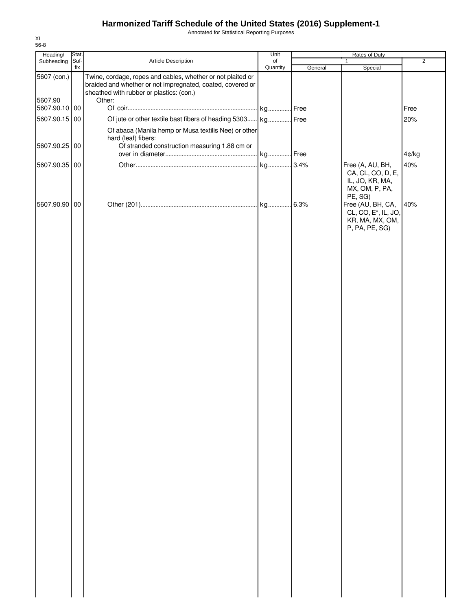Annotated for Statistical Reporting Purposes

| Heading/               | Stat.       |                                                                                                                                                                       | Unit           | Rates of Duty |                                                                                            |                |
|------------------------|-------------|-----------------------------------------------------------------------------------------------------------------------------------------------------------------------|----------------|---------------|--------------------------------------------------------------------------------------------|----------------|
| Subheading             | Suf-<br>fix | Article Description                                                                                                                                                   | of<br>Quantity |               | 1                                                                                          | $\overline{2}$ |
| 5607 (con.)<br>5607.90 |             | Twine, cordage, ropes and cables, whether or not plaited or<br>braided and whether or not impregnated, coated, covered or<br>sheathed with rubber or plastics: (con.) |                | General       | Special                                                                                    |                |
| 5607.90.10 00          |             | Other:                                                                                                                                                                |                |               |                                                                                            | Free           |
| 5607.90.15 00          |             | Of jute or other textile bast fibers of heading 5303 kg Free                                                                                                          |                |               |                                                                                            | 20%            |
|                        |             | Of abaca (Manila hemp or Musa textilis Nee) or other<br>hard (leaf) fibers:                                                                                           |                |               |                                                                                            |                |
| 5607.90.25 00          |             | Of stranded construction measuring 1.88 cm or                                                                                                                         | kg Free        |               |                                                                                            | 4¢/kg          |
| 5607.90.35 00          |             |                                                                                                                                                                       |                |               | Free (A, AU, BH,                                                                           | 40%            |
|                        |             |                                                                                                                                                                       |                |               | CA, CL, CO, D, E,<br>IL, JO, KR, MA,<br>MX, OM, P, PA,<br>PE, SG)                          |                |
| 5607.90.90 00          |             |                                                                                                                                                                       |                |               | Free (AU, BH, CA,<br>CL, CO, E <sup>*</sup> , IL, JO,<br>KR, MA, MX, OM,<br>P, PA, PE, SG) | 40%            |
|                        |             |                                                                                                                                                                       |                |               |                                                                                            |                |
|                        |             |                                                                                                                                                                       |                |               |                                                                                            |                |
|                        |             |                                                                                                                                                                       |                |               |                                                                                            |                |
|                        |             |                                                                                                                                                                       |                |               |                                                                                            |                |
|                        |             |                                                                                                                                                                       |                |               |                                                                                            |                |
|                        |             |                                                                                                                                                                       |                |               |                                                                                            |                |
|                        |             |                                                                                                                                                                       |                |               |                                                                                            |                |
|                        |             |                                                                                                                                                                       |                |               |                                                                                            |                |
|                        |             |                                                                                                                                                                       |                |               |                                                                                            |                |
|                        |             |                                                                                                                                                                       |                |               |                                                                                            |                |
|                        |             |                                                                                                                                                                       |                |               |                                                                                            |                |
|                        |             |                                                                                                                                                                       |                |               |                                                                                            |                |
|                        |             |                                                                                                                                                                       |                |               |                                                                                            |                |
|                        |             |                                                                                                                                                                       |                |               |                                                                                            |                |
|                        |             |                                                                                                                                                                       |                |               |                                                                                            |                |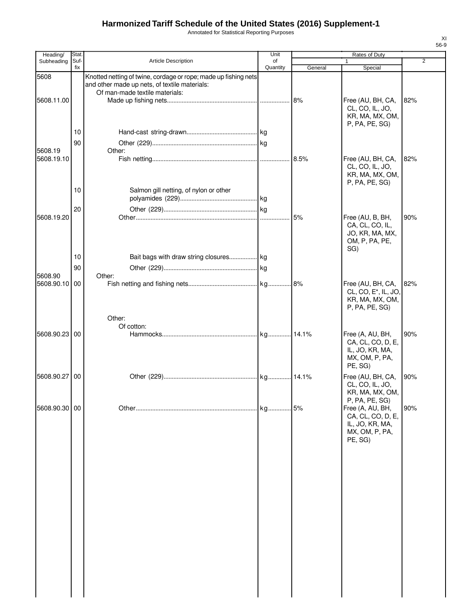Annotated for Statistical Reporting Purposes

| Heading/                 | Stat.    |                                                                                                                  | Unit     |         | Rates of Duty                                                                                                              |                |
|--------------------------|----------|------------------------------------------------------------------------------------------------------------------|----------|---------|----------------------------------------------------------------------------------------------------------------------------|----------------|
| Subheading               | Suf-     | Article Description                                                                                              | of       |         |                                                                                                                            | $\overline{2}$ |
| 5608                     | fix      | Knotted netting of twine, cordage or rope; made up fishing nets<br>and other made up nets, of textile materials: | Quantity | General | Special                                                                                                                    |                |
| 5608.11.00               |          | Of man-made textile materials:                                                                                   |          |         | Free (AU, BH, CA,<br>CL, CO, IL, JO,<br>KR, MA, MX, OM,<br>P, PA, PE, SG)                                                  | 82%            |
|                          | 10<br>90 |                                                                                                                  |          |         |                                                                                                                            |                |
| 5608.19<br>5608.19.10    |          | Other:                                                                                                           |          |         | Free (AU, BH, CA,<br>CL, CO, IL, JO,<br>KR, MA, MX, OM,                                                                    | 82%            |
|                          | 10       | Salmon gill netting, of nylon or other                                                                           |          |         | P, PA, PE, SG)                                                                                                             |                |
| 5608.19.20               | 20       |                                                                                                                  |          | 5%      | Free (AU, B, BH,<br>CA, CL, CO, IL,<br>JO, KR, MA, MX,<br>OM, P, PA, PE,                                                   | 90%            |
|                          | 10<br>90 | Bait bags with draw string closures kg                                                                           |          |         | SG)                                                                                                                        |                |
| 5608.90<br>5608.90.10 00 |          | Other:                                                                                                           |          |         | Free (AU, BH, CA,<br>CL, CO, E <sup>*</sup> , IL, JO,<br>KR, MA, MX, OM,<br>P, PA, PE, SG)                                 | 82%            |
| 5608.90.23 00            |          | Other:<br>Of cotton:                                                                                             |          |         | Free (A, AU, BH,<br>CA, CL, CO, D, E,<br>IL, JO, KR, MA,<br>MX, OM, P, PA,                                                 | 90%            |
| 5608.90.27               | 00       |                                                                                                                  |          |         | PE, SG)<br>Free (AU, BH, CA,<br>CL, CO, IL, JO,                                                                            | 90%            |
| 5608.90.30 00            |          |                                                                                                                  |          |         | KR, MA, MX, OM,<br>P, PA, PE, SG)<br>Free (A, AU, BH,<br>CA, CL, CO, D, E,<br>IL, JO, KR, MA,<br>MX, OM, P, PA,<br>PE, SG) | 90%            |
|                          |          |                                                                                                                  |          |         |                                                                                                                            |                |
|                          |          |                                                                                                                  |          |         |                                                                                                                            |                |
|                          |          |                                                                                                                  |          |         |                                                                                                                            |                |
|                          |          |                                                                                                                  |          |         |                                                                                                                            |                |